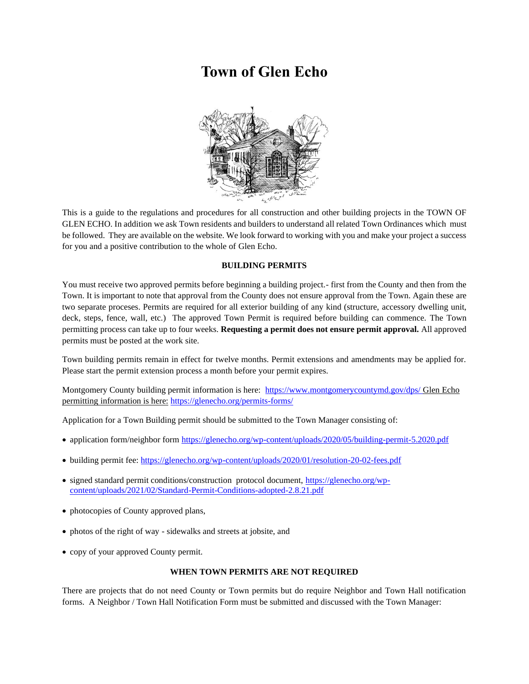# **Town of Glen Echo**



This is a guide to the regulations and procedures for all construction and other building projects in the TOWN OF GLEN ECHO. In addition we ask Town residents and builders to understand all related Town Ordinances which must be followed. They are available on the website. We look forward to working with you and make your project a success for you and a positive contribution to the whole of Glen Echo.

## **BUILDING PERMITS**

You must receive two approved permits before beginning a building project.- first from the County and then from the Town. It is important to note that approval from the County does not ensure approval from the Town. Again these are two separate proceses. Permits are required for all exterior building of any kind (structure, accessory dwelling unit, deck, steps, fence, wall, etc.) The approved Town Permit is required before building can commence. The Town permitting process can take up to four weeks. **Requesting a permit does not ensure permit approval.** All approved permits must be posted at the work site.

Town building permits remain in effect for twelve months. Permit extensions and amendments may be applied for. Please start the permit extension process a month before your permit expires.

Montgomery County building permit information is here: <https://www.montgomerycountymd.gov/dps/> Glen Echo permitting information is here: <https://glenecho.org/permits-forms/>

Application for a Town Building permit should be submitted to the Town Manager consisting of:

- application form/neighbor form<https://glenecho.org/wp-content/uploads/2020/05/building-permit-5.2020.pdf>
- building permit fee:<https://glenecho.org/wp-content/uploads/2020/01/resolution-20-02-fees.pdf>
- signed standard permit conditions/construction protocol document, [https://glenecho.org/wp](https://glenecho.org/wp-content/uploads/2021/02/Standard-Permit-Conditions-adopted-2.8.21.pdf)[content/uploads/2021/02/Standard-Permit-Conditions-adopted-2.8.21.pdf](https://glenecho.org/wp-content/uploads/2021/02/Standard-Permit-Conditions-adopted-2.8.21.pdf)
- photocopies of County approved plans,
- photos of the right of way sidewalks and streets at jobsite, and
- copy of your approved County permit.

## **WHEN TOWN PERMITS ARE NOT REQUIRED**

There are projects that do not need County or Town permits but do require Neighbor and Town Hall notification forms. A Neighbor / Town Hall Notification Form must be submitted and discussed with the Town Manager: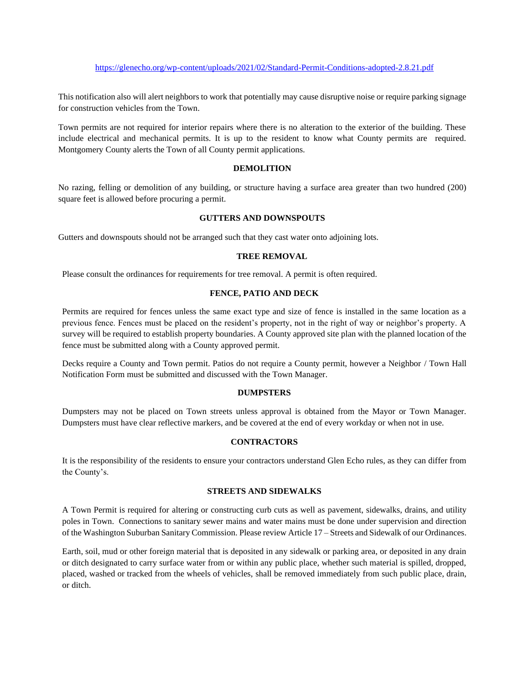This notification also will alert neighbors to work that potentially may cause disruptive noise or require parking signage for construction vehicles from the Town.

Town permits are not required for interior repairs where there is no alteration to the exterior of the building. These include electrical and mechanical permits. It is up to the resident to know what County permits are required. Montgomery County alerts the Town of all County permit applications.

#### **DEMOLITION**

No razing, felling or demolition of any building, or structure having a surface area greater than two hundred (200) square feet is allowed before procuring a permit.

#### **GUTTERS AND DOWNSPOUTS**

Gutters and downspouts should not be arranged such that they cast water onto adjoining lots.

#### **TREE REMOVAL**

Please consult the ordinances for requirements for tree removal. A permit is often required.

#### **FENCE, PATIO AND DECK**

Permits are required for fences unless the same exact type and size of fence is installed in the same location as a previous fence. Fences must be placed on the resident's property, not in the right of way or neighbor's property. A survey will be required to establish property boundaries. A County approved site plan with the planned location of the fence must be submitted along with a County approved permit.

Decks require a County and Town permit. Patios do not require a County permit, however a Neighbor / Town Hall Notification Form must be submitted and discussed with the Town Manager.

#### **DUMPSTERS**

Dumpsters may not be placed on Town streets unless approval is obtained from the Mayor or Town Manager. Dumpsters must have clear reflective markers, and be covered at the end of every workday or when not in use.

#### **CONTRACTORS**

It is the responsibility of the residents to ensure your contractors understand Glen Echo rules, as they can differ from the County's.

#### **STREETS AND SIDEWALKS**

A Town Permit is required for altering or constructing curb cuts as well as pavement, sidewalks, drains, and utility poles in Town. Connections to sanitary sewer mains and water mains must be done under supervision and direction of the Washington Suburban Sanitary Commission. Please review Article 17 – Streets and Sidewalk of our Ordinances.

Earth, soil, mud or other foreign material that is deposited in any sidewalk or parking area, or deposited in any drain or ditch designated to carry surface water from or within any public place, whether such material is spilled, dropped, placed, washed or tracked from the wheels of vehicles, shall be removed immediately from such public place, drain, or ditch.